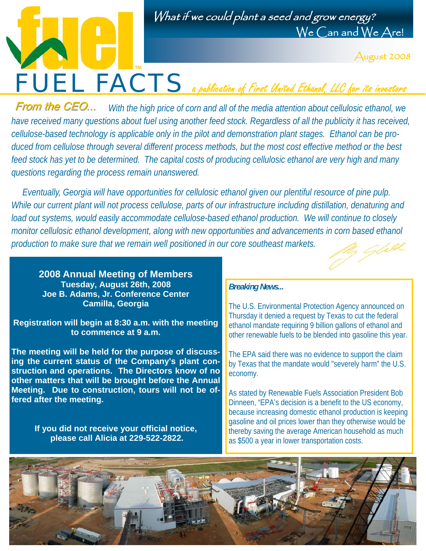



August 2008

*With the high price of corn and all of the media attention about cellulosic ethanol, we have received many questions about fuel using another feed stock. Regardless of all the publicity it has received, cellulose-based technology is applicable only in the pilot and demonstration plant stages. Ethanol can be produced from cellulose through several different process methods, but the most cost effective method or the best feed stock has yet to be determined. The capital costs of producing cellulosic ethanol are very high and many questions regarding the process remain unanswered.*  From the CEO...

 *Eventually, Georgia will have opportunities for cellulosic ethanol given our plentiful resource of pine pulp. While our current plant will not process cellulose, parts of our infrastructure including distillation, denaturing and load out systems, would easily accommodate cellulose-based ethanol production. We will continue to closely monitor cellulosic ethanol development, along with new opportunities and advancements in corn based ethanol production to make sure that we remain well positioned in our core southeast markets.* 

**2008 Annual Meeting of Members Tuesday, August 26th, 2008 Joe B. Adams, Jr. Conference Center Camilla, Georgia** 

**Registration will begin at 8:30 a.m. with the meeting to commence at 9 a.m.** 

**The meeting will be held for the purpose of discussing the current status of the Company's plant construction and operations. The Directors know of no other matters that will be brought before the Annual Meeting. Due to construction, tours will not be offered after the meeting.** 

> **If you did not receive your official notice, please call Alicia at 229-522-2822.**

#### *Breaking News...*

The U.S. Environmental Protection Agency announced on Thursday it denied a request by Texas to cut the federal ethanol mandate requiring 9 billion gallons of ethanol and other renewable fuels to be blended into gasoline this year.

The EPA said there was no evidence to support the claim by Texas that the mandate would "severely harm" the U.S. economy.

As stated by Renewable Fuels Association President Bob Dinneen, "EPA's decision is a benefit to the US economy, because increasing domestic ethanol production is keeping gasoline and oil prices lower than they otherwise would be thereby saving the average American household as much as \$500 a year in lower transportation costs.